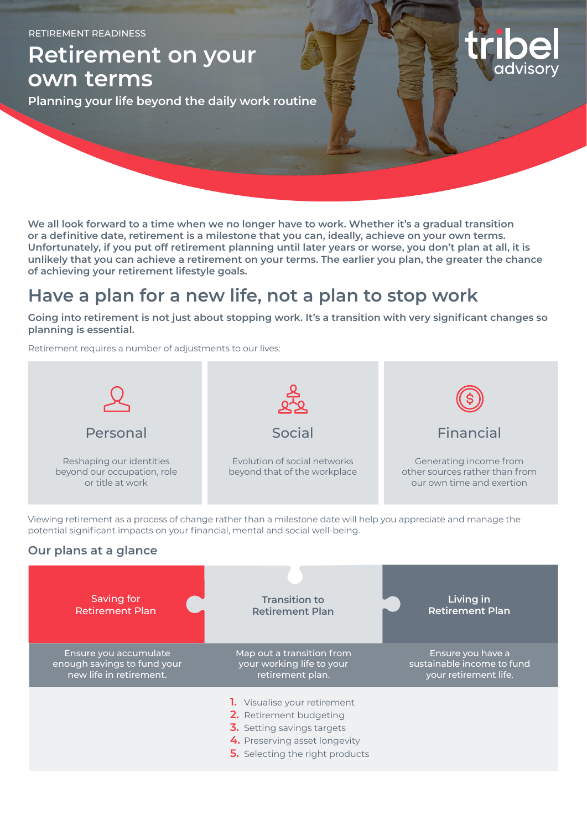RETIREMENT READINESS

**Retirement on your own terms**

**Planning your life beyond the daily work routine**

**We all look forward to a time when we no longer have to work. Whether it's a gradual transition or a definitive date, retirement is a milestone that you can, ideally, achieve on your own terms. Unfortunately, if you put off retirement planning until later years or worse, you don't plan at all, it is unlikely that you can achieve a retirement on your terms. The earlier you plan, the greater the chance of achieving your retirement lifestyle goals.**

## **Have a plan for a new life, not a plan to stop work**

**Going into retirement is not just about stopping work. It's a transition with very significant changes so planning is essential.**

Retirement requires a number of adjustments to our lives:



Viewing retirement as a process of change rather than a milestone date will help you appreciate and manage the potential significant impacts on your financial, mental and social well-being.

### **Our plans at a glance**

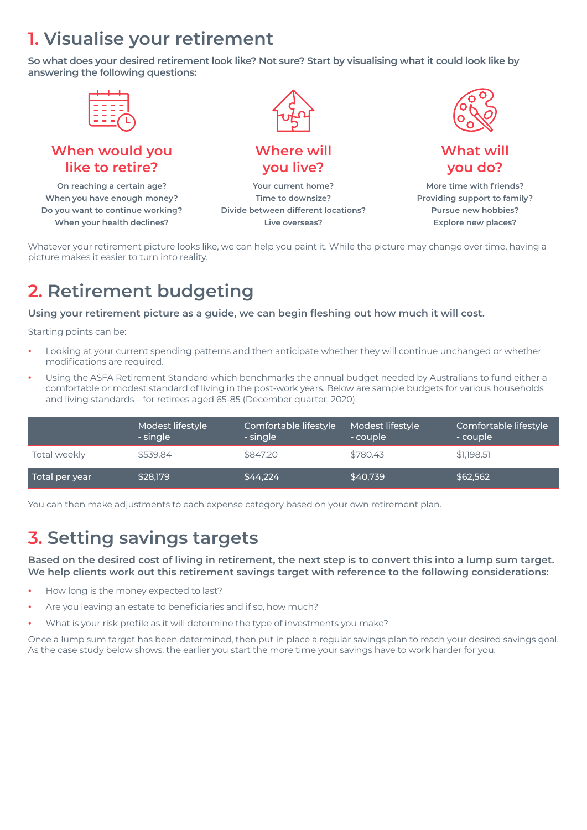# **1. Visualise your retirement**

**So what does your desired retirement look like? Not sure? Start by visualising what it could look like by answering the following questions:**



Whatever your retirement picture looks like, we can help you paint it. While the picture may change over time, having a picture makes it easier to turn into reality.

# **2. Retirement budgeting**

**Using your retirement picture as a guide, we can begin fleshing out how much it will cost.**

Starting points can be:

- **•** Looking at your current spending patterns and then anticipate whether they will continue unchanged or whether modifications are required.
- **•** Using the ASFA Retirement Standard which benchmarks the annual budget needed by Australians to fund either a comfortable or modest standard of living in the post-work years. Below are sample budgets for various households and living standards – for retirees aged 65-85 (December quarter, 2020).

|                             | Modest lifestyle<br>- single | Comfortable lifestyle<br>- single | Modest lifestyle<br>- couple | Comfortable lifestyle<br>- couple |
|-----------------------------|------------------------------|-----------------------------------|------------------------------|-----------------------------------|
| Total weekly                | \$539.84                     | \$847.20                          | \$780.43                     | \$1.198.5]                        |
| Total per year <sub>i</sub> | \$28,179                     | \$44,224                          | \$40.739                     | \$62,562                          |

You can then make adjustments to each expense category based on your own retirement plan.

## **3. Setting savings targets**

**Based on the desired cost of living in retirement, the next step is to convert this into a lump sum target. We help clients work out this retirement savings target with reference to the following considerations:**

- **•** How long is the money expected to last?
- **•** Are you leaving an estate to beneficiaries and if so, how much?
- **•** What is your risk profile as it will determine the type of investments you make?

Once a lump sum target has been determined, then put in place a regular savings plan to reach your desired savings goal. As the case study below shows, the earlier you start the more time your savings have to work harder for you.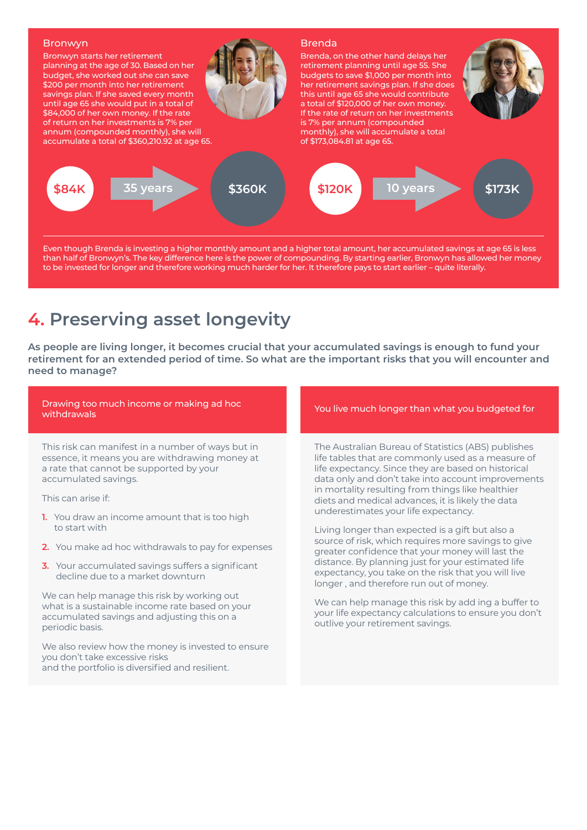

Even though Brenda is investing a higher monthly amount and a higher total amount, her accumulated savings at age 65 is less than half of Bronwyn's. The key difference here is the power of compounding. By starting earlier, Bronwyn has allowed her money to be invested for longer and therefore working much harder for her. It therefore pays to start earlier – quite literally.

## **4. Preserving asset longevity**

**As people are living longer, it becomes crucial that your accumulated savings is enough to fund your retirement for an extended period of time. So what are the important risks that you will encounter and need to manage?**

| Drawing too much income or making ad hoc<br>withdrawals                                                                                                                                                                                                                                                                                                                                                                                                                                                                                                                                                                                                                                                                             | You live much longer than what you budgeted for                                                                                                                                                                                                                                                                                                                                                                                                                                                                                                                                                                                                                                                                                                                                                                                                     |
|-------------------------------------------------------------------------------------------------------------------------------------------------------------------------------------------------------------------------------------------------------------------------------------------------------------------------------------------------------------------------------------------------------------------------------------------------------------------------------------------------------------------------------------------------------------------------------------------------------------------------------------------------------------------------------------------------------------------------------------|-----------------------------------------------------------------------------------------------------------------------------------------------------------------------------------------------------------------------------------------------------------------------------------------------------------------------------------------------------------------------------------------------------------------------------------------------------------------------------------------------------------------------------------------------------------------------------------------------------------------------------------------------------------------------------------------------------------------------------------------------------------------------------------------------------------------------------------------------------|
| This risk can manifest in a number of ways but in<br>essence, it means you are withdrawing money at<br>a rate that cannot be supported by your<br>accumulated savings.<br>This can arise if:<br><b>1.</b> You draw an income amount that is too high<br>to start with<br>2. You make ad hoc withdrawals to pay for expenses<br>3. Your accumulated savings suffers a significant<br>decline due to a market downturn<br>We can help manage this risk by working out<br>what is a sustainable income rate based on your<br>accumulated savings and adjusting this on a<br>periodic basis.<br>We also review how the money is invested to ensure<br>you don't take excessive risks<br>and the portfolio is diversified and resilient. | The Australian Bureau of Statistics (ABS) publishes<br>life tables that are commonly used as a measure of<br>life expectancy. Since they are based on historical<br>data only and don't take into account improvements<br>in mortality resulting from things like healthier<br>diets and medical advances, it is likely the data<br>underestimates your life expectancy.<br>Living longer than expected is a gift but also a<br>source of risk, which requires more savings to give<br>greater confidence that your money will last the<br>distance. By planning just for your estimated life<br>expectancy, you take on the risk that you will live<br>longer, and therefore run out of money.<br>We can help manage this risk by add ing a buffer to<br>your life expectancy calculations to ensure you don't<br>outlive your retirement savings. |
|                                                                                                                                                                                                                                                                                                                                                                                                                                                                                                                                                                                                                                                                                                                                     |                                                                                                                                                                                                                                                                                                                                                                                                                                                                                                                                                                                                                                                                                                                                                                                                                                                     |